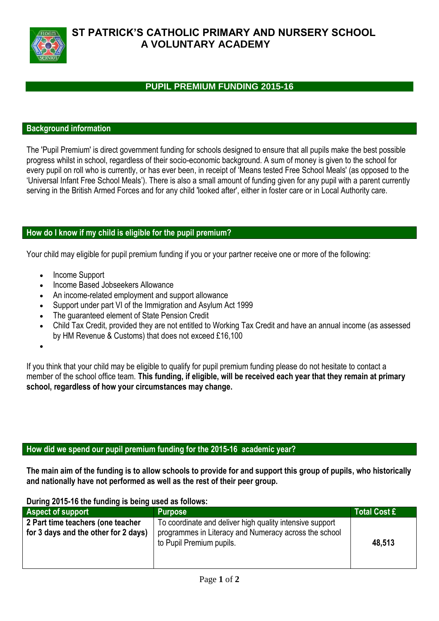

## **ST PATRICK'S CATHOLIC PRIMARY AND NURSERY SCHOOL A VOLUNTARY ACADEMY**

### **PUPIL PREMIUM FUNDING 2015-16**

#### **Background information**

The 'Pupil Premium' is direct government funding for schools designed to ensure that all pupils make the best possible progress whilst in school, regardless of their socio-economic background. A sum of money is given to the school for every pupil on roll who is currently, or has ever been, in receipt of 'Means tested Free School Meals' (as opposed to the 'Universal Infant Free School Meals'). There is also a small amount of funding given for any pupil with a parent currently serving in the British Armed Forces and for any child 'looked after', either in foster care or in Local Authority care.

#### **How do I know if my child is eligible for the pupil premium?**

Your child may eligible for pupil premium funding if you or your partner receive one or more of the following:

- Income Support
- Income Based Jobseekers Allowance
- An income-related employment and support allowance
- Support under part VI of the Immigration and Asylum Act 1999
- The guaranteed element of State Pension Credit
- Child Tax Credit, provided they are not entitled to Working Tax Credit and have an annual income (as assessed by HM Revenue & Customs) that does not exceed £16,100
- $\bullet$

If you think that your child may be eligible to qualify for pupil premium funding please do not hesitate to contact a member of the school office team. **This funding, if eligible, will be received each year that they remain at primary school, regardless of how your circumstances may change.**

#### **How did we spend our pupil premium funding for the 2015-16 academic year?**

**The main aim of the funding is to allow schools to provide for and support this group of pupils, who historically and nationally have not performed as well as the rest of their peer group.**

#### **During 2015-16 the funding is being used as follows:**

| <b>Aspect of support</b>                                                  | <b>Purpose</b>                                                                                                                                | <b>Total Cost £</b> |
|---------------------------------------------------------------------------|-----------------------------------------------------------------------------------------------------------------------------------------------|---------------------|
| 2 Part time teachers (one teacher<br>for 3 days and the other for 2 days) | To coordinate and deliver high quality intensive support<br>programmes in Literacy and Numeracy across the school<br>to Pupil Premium pupils. | 48,513              |